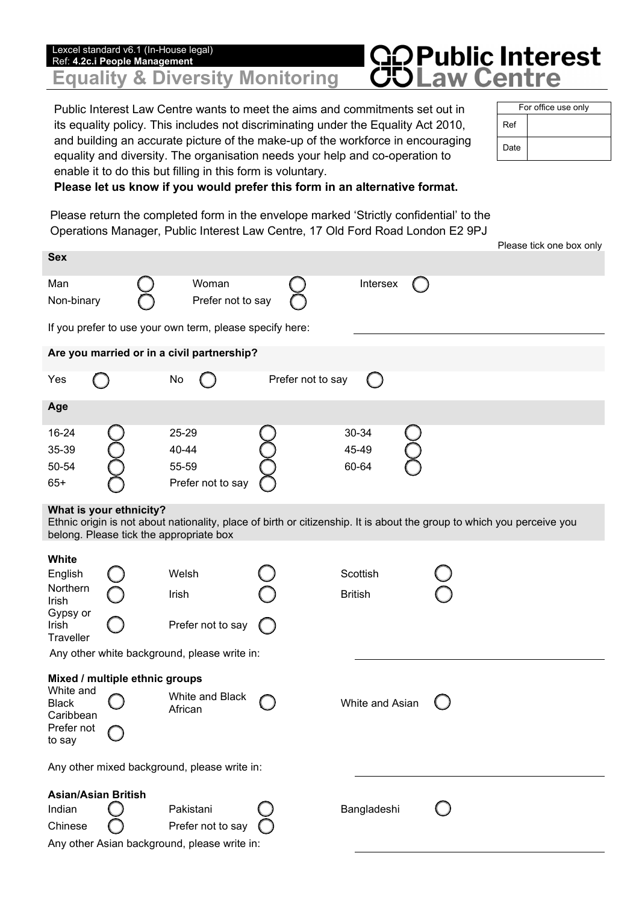## **GOPublic Interest**<br>COLaw Centre Lexcel standard v6.1 (In-House legal) Ref: **4.2c.i People Management Equality & Diversity Monitoring**

Public Interest Law Centre wants to meet the aims and commitments set out in its equality policy. This includes not discriminating under the Equality Act 2010, and building an accurate picture of the make-up of the workforce in encouraging equality and diversity. The organisation needs your help and co-operation to enable it to do this but filling in this form is voluntary.

| For office use only |  |  |  |  |  |  |
|---------------------|--|--|--|--|--|--|
| Ref                 |  |  |  |  |  |  |
| Date                |  |  |  |  |  |  |

## **Please let us know if you would prefer this form in an alternative format.**

Please return the completed form in the envelope marked 'Strictly confidential' to the Operations Manager, Public Interest Law Centre, 17 Old Ford Road London E2 9PJ

|                                                                                                                                                                                              |                                |                                                          |                   |                         |  | Please tick one box only |  |  |  |
|----------------------------------------------------------------------------------------------------------------------------------------------------------------------------------------------|--------------------------------|----------------------------------------------------------|-------------------|-------------------------|--|--------------------------|--|--|--|
| <b>Sex</b>                                                                                                                                                                                   |                                |                                                          |                   |                         |  |                          |  |  |  |
| Man<br>Non-binary                                                                                                                                                                            |                                | Woman<br>Prefer not to say                               |                   | Intersex                |  |                          |  |  |  |
|                                                                                                                                                                                              |                                | If you prefer to use your own term, please specify here: |                   |                         |  |                          |  |  |  |
| Are you married or in a civil partnership?                                                                                                                                                   |                                |                                                          |                   |                         |  |                          |  |  |  |
| Yes                                                                                                                                                                                          |                                | No                                                       | Prefer not to say |                         |  |                          |  |  |  |
| Age                                                                                                                                                                                          |                                |                                                          |                   |                         |  |                          |  |  |  |
| 16-24<br>35-39<br>50-54<br>$65+$                                                                                                                                                             |                                | 25-29<br>40-44<br>55-59<br>Prefer not to say             |                   | 30-34<br>45-49<br>60-64 |  |                          |  |  |  |
| What is your ethnicity?<br>Ethnic origin is not about nationality, place of birth or citizenship. It is about the group to which you perceive you<br>belong. Please tick the appropriate box |                                |                                                          |                   |                         |  |                          |  |  |  |
| White                                                                                                                                                                                        |                                |                                                          |                   |                         |  |                          |  |  |  |
| English                                                                                                                                                                                      |                                | Welsh                                                    |                   | Scottish                |  |                          |  |  |  |
| Northern<br>Irish                                                                                                                                                                            |                                | Irish                                                    |                   | <b>British</b>          |  |                          |  |  |  |
| Gypsy or<br>Irish<br>Traveller                                                                                                                                                               |                                | Prefer not to say                                        |                   |                         |  |                          |  |  |  |
| Any other white background, please write in:                                                                                                                                                 |                                |                                                          |                   |                         |  |                          |  |  |  |
|                                                                                                                                                                                              | Mixed / multiple ethnic groups |                                                          |                   |                         |  |                          |  |  |  |
| White and<br><b>Black</b><br>Caribbean                                                                                                                                                       |                                | White and Black<br>African                               |                   | White and Asian         |  |                          |  |  |  |
| Prefer not<br>to say                                                                                                                                                                         |                                |                                                          |                   |                         |  |                          |  |  |  |
| Any other mixed background, please write in:                                                                                                                                                 |                                |                                                          |                   |                         |  |                          |  |  |  |
| <b>Asian/Asian British</b>                                                                                                                                                                   |                                |                                                          |                   |                         |  |                          |  |  |  |
| Indian                                                                                                                                                                                       |                                | Pakistani                                                |                   | Bangladeshi             |  |                          |  |  |  |
| Chinese                                                                                                                                                                                      |                                | Prefer not to say                                        |                   |                         |  |                          |  |  |  |
| Any other Asian background, please write in:                                                                                                                                                 |                                |                                                          |                   |                         |  |                          |  |  |  |